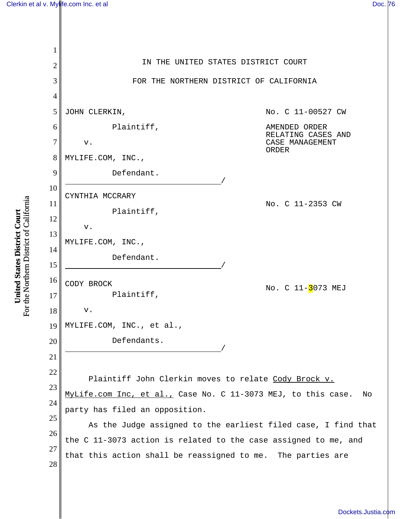

For the Northern District of California For the Northern District of California United States District Court **United States District Court**

[Dockets.Justia.com](http://dockets.justia.com/)